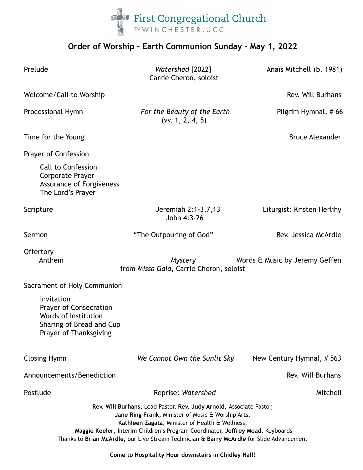

## **Order of Worship - Earth Communion Sunday - May 1, 2022**

| Prelude                                                                                                            | Watershed [2022]<br>Carrie Cheron, soloist                                                                                                                                                                                                                                                                                                                  | Anaïs Mitchell (b. 1981)   |
|--------------------------------------------------------------------------------------------------------------------|-------------------------------------------------------------------------------------------------------------------------------------------------------------------------------------------------------------------------------------------------------------------------------------------------------------------------------------------------------------|----------------------------|
| Welcome/Call to Worship                                                                                            |                                                                                                                                                                                                                                                                                                                                                             | Rev. Will Burhans          |
| Processional Hymn                                                                                                  | For the Beauty of the Earth<br>(vv. 1, 2, 4, 5)                                                                                                                                                                                                                                                                                                             | Pilgrim Hymnal, #66        |
| Time for the Young                                                                                                 |                                                                                                                                                                                                                                                                                                                                                             | <b>Bruce Alexander</b>     |
| Prayer of Confession                                                                                               |                                                                                                                                                                                                                                                                                                                                                             |                            |
| <b>Call to Confession</b><br>Corporate Prayer<br><b>Assurance of Forgiveness</b><br>The Lord's Prayer              |                                                                                                                                                                                                                                                                                                                                                             |                            |
| Scripture                                                                                                          | Jeremiah 2:1-3,7,13<br>John 4:3-26                                                                                                                                                                                                                                                                                                                          | Liturgist: Kristen Herlihy |
| Sermon                                                                                                             | "The Outpouring of God"                                                                                                                                                                                                                                                                                                                                     | Rev. Jessica McArdle       |
| Offertory<br>Anthem                                                                                                | Mystery<br>Words & Music by Jeremy Geffen<br>from Missa Gaia, Carrie Cheron, soloist                                                                                                                                                                                                                                                                        |                            |
| Sacrament of Holy Communion                                                                                        |                                                                                                                                                                                                                                                                                                                                                             |                            |
| Invitation<br>Prayer of Consecration<br>Words of Institution<br>Sharing of Bread and Cup<br>Prayer of Thanksgiving |                                                                                                                                                                                                                                                                                                                                                             |                            |
| <b>Closing Hymn</b>                                                                                                | We Cannot Own the Sunlit Sky                                                                                                                                                                                                                                                                                                                                | New Century Hymnal, #563   |
| Announcements/Benediction                                                                                          |                                                                                                                                                                                                                                                                                                                                                             | Rev. Will Burhans          |
| Postlude                                                                                                           | Reprise: Watershed                                                                                                                                                                                                                                                                                                                                          | Mitchell                   |
|                                                                                                                    | Rev. Will Burhans, Lead Pastor, Rev. Judy Arnold, Associate Pastor,<br>Jane Ring Frank, Minister of Music & Worship Arts,<br>Kathleen Zagata, Minister of Health & Wellness,<br>Maggie Keeler, Interim Children's Program Coordinator, Jeffrey Mead, Keyboards<br>Thanks to Brian McArdle, our Live Stream Technician & Barry McArdle for Slide Advancement |                            |

**Come to Hospitality Hour downstairs in Chidley Hall!**